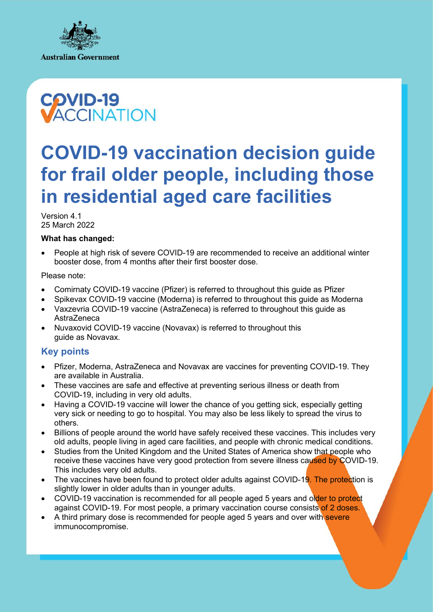



# **COVID-19 vaccination decision guide for frail older people, including those in residential aged care facilities**

Version 4.1 25 March 2022

### **What has changed:**

• People at high risk of severe COVID-19 are recommended to receive an additional winter booster dose, from 4 months after their first booster dose.

Please note:

- Comirnaty COVID-19 vaccine (Pfizer) is referred to throughout this guide as Pfizer
- Spikevax COVID-19 vaccine (Moderna) is referred to throughout this guide as Moderna
- Vaxzevria COVID-19 vaccine (AstraZeneca) is referred to throughout this guide as AstraZeneca
- Nuvaxovid COVID-19 vaccine (Novavax) is referred to throughout this guide as Novavax.

### **Key points**

- Pfizer, Moderna, AstraZeneca and Novavax are vaccines for preventing COVID-19. They are available in Australia.
- These vaccines are safe and effective at preventing serious illness or death from COVID-19, including in very old adults.
- Having a COVID-19 vaccine will lower the chance of you getting sick, especially getting very sick or needing to go to hospital. You may also be less likely to spread the virus to others.
- Billions of people around the world have safely received these vaccines. This includes very old adults, people living in aged care facilities, and people with chronic medical conditions.
- Studies from the United Kingdom and the United States of America show that people who receive these vaccines have very good protection from severe illness caused by COVID-19. This includes very old adults.
- The vaccines have been found to protect older adults against COVID-19. The protection is slightly lower in older adults than in younger adults.
- COVID-19 vaccination is recommended for all people aged 5 years and older to protect against COVID-19. For most people, a primary vaccination course consists of 2 doses.
- A third primary dose is recommended for people aged 5 years and over with severe immunocompromise.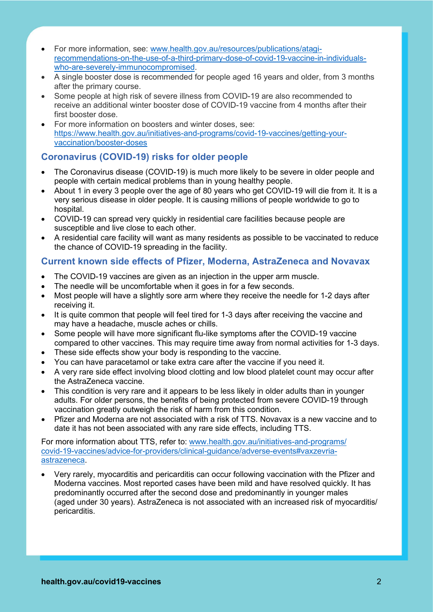- For more information, see: www.health.gov.au/resources/publications/atagirecommendations-on-the-use-of-a-third-primary-dose-of-covid-19-vaccine-in-individualswho-are-severely-immunocompromised.
- A single booster dose is recommended for people aged 16 years and older, from 3 months after the primary course.
- Some people at high risk of severe illness from COVID-19 are also recommended to receive an additional winter booster dose of COVID-19 vaccine from 4 months after their first booster dose.
- For more information on boosters and winter doses, see: [https://www.health.gov.au/initiatives-and-programs/covid-19-vaccines/getting-your](https://www.health.gov.au/initiatives-and-programs/covid-19-vaccines/getting-your-vaccination/booster-doses)[vaccination/booster-doses](https://www.health.gov.au/initiatives-and-programs/covid-19-vaccines/getting-your-vaccination/booster-doses)

## **Coronavirus (COVID-19) risks for older people**

- The Coronavirus disease (COVID-19) is much more likely to be severe in older people and people with certain medical problems than in young healthy people.
- About 1 in every 3 people over the age of 80 years who get COVID-19 will die from it. It is a very serious disease in older people. It is causing millions of people worldwide to go to hospital.
- COVID-19 can spread very quickly in residential care facilities because people are susceptible and live close to each other.
- A residential care facility will want as many residents as possible to be vaccinated to reduce the chance of COVID-19 spreading in the facility.

### **Current known side effects of Pfizer, Moderna, AstraZeneca and Novavax**

- The COVID-19 vaccines are given as an injection in the upper arm muscle.
- The needle will be uncomfortable when it goes in for a few seconds.
- Most people will have a slightly sore arm where they receive the needle for 1-2 days after receiving it.
- It is quite common that people will feel tired for 1-3 days after receiving the vaccine and may have a headache, muscle aches or chills.
- Some people will have more significant flu-like symptoms after the COVID-19 vaccine compared to other vaccines. This may require time away from normal activities for 1-3 days.
- These side effects show your body is responding to the vaccine.
- You can have paracetamol or take extra care after the vaccine if you need it.
- A very rare side effect involving blood clotting and low blood platelet count may occur after the AstraZeneca vaccine.
- This condition is very rare and it appears to be less likely in older adults than in younger adults. For older persons, the benefits of being protected from severe COVID-19 through vaccination greatly outweigh the risk of harm from this condition.
- Pfizer and Moderna are not associated with a risk of TTS. Novavax is a new vaccine and to date it has not been associated with any rare side effects, including TTS.

For more information about TTS, refer to: [www.health.gov.au/initiatives-and-programs/](http://www.health.gov.au/initiatives-and-programs/covid-19-vaccines/advice-for-providers/clinical-guidance/adverse-events#vaxzevria-astrazeneca) [covid-19-vaccines/advice-for-providers/clinical-guidance/adverse-events#vaxzevria](http://www.health.gov.au/initiatives-and-programs/covid-19-vaccines/advice-for-providers/clinical-guidance/adverse-events#vaxzevria-astrazeneca)[astrazeneca.](http://www.health.gov.au/initiatives-and-programs/covid-19-vaccines/advice-for-providers/clinical-guidance/adverse-events#vaxzevria-astrazeneca)

• Very rarely, myocarditis and pericarditis can occur following vaccination with the Pfizer and Moderna vaccines. Most reported cases have been mild and have resolved quickly. It has predominantly occurred after the second dose and predominantly in younger males (aged under 30 years). AstraZeneca is not associated with an increased risk of myocarditis/ pericarditis.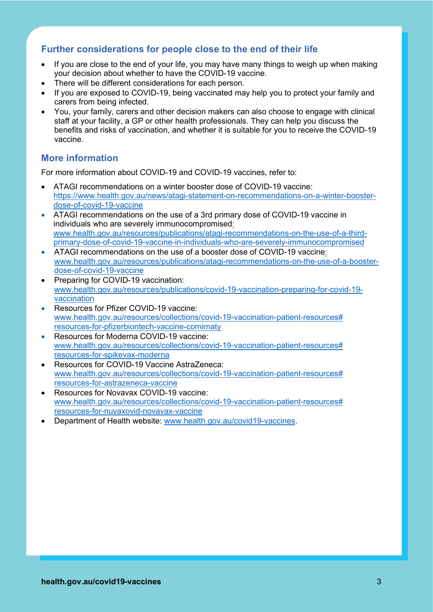### **Further considerations for people close to the end of their life**

- If you are close to the end of your life, you may have many things to weigh up when making your decision about whether to have the COVID-19 vaccine.
- There will be different considerations for each person.
- If you are exposed to COVID-19, being vaccinated may help you to protect your family and carers from being infected.
- You, your family, carers and other decision makers can also choose to engage with clinical staff at your facility, a GP or other health professionals. They can help you discuss the benefits and risks of vaccination, and whether it is suitable for you to receive the COVID-19 vaccine.

### **More information**

For more information about COVID-19 and COVID-19 vaccines, refer to:

- ATAGI recommendations on a winter booster dose of COVID-19 vaccine: [https://www.health.gov.au/news/atagi-statement-on-recommendations-on-a-winter-booster](https://www.health.gov.au/news/atagi-statement-on-recommendations-on-a-winter-booster-dose-of-covid-19-vaccine)[dose-of-covid-19-vaccine](https://www.health.gov.au/news/atagi-statement-on-recommendations-on-a-winter-booster-dose-of-covid-19-vaccine)
- ATAGI recommendations on the use of a 3rd primary dose of COVID-19 vaccine in individuals who are severely immunocompromised: [www.health.gov.au/resources/publications/atagi-recommendations-on-the-use-of-a-third](http://www.health.gov.au/resources/publications/atagi-recommendations-on-the-use-of-a-third-primary-dose-of-covid-19-vaccine-in-individuals-who-are-severely-immunocompromised)[primary-dose-of-covid-19-vaccine-in-individuals-who-are-severely-immunocompromised](http://www.health.gov.au/resources/publications/atagi-recommendations-on-the-use-of-a-third-primary-dose-of-covid-19-vaccine-in-individuals-who-are-severely-immunocompromised)
- ATAGI recommendations on the use of a booster dose of COVID-19 vaccine: [www.health.gov.au/resources/publications/atagi-recommendations-on-the-use-of-a-booster](http://www.health.gov.au/resources/publications/atagi-recommendations-on-the-use-of-a-booster-dose-of-covid-19-vaccine)[dose-of-covid-19-vaccine](http://www.health.gov.au/resources/publications/atagi-recommendations-on-the-use-of-a-booster-dose-of-covid-19-vaccine)
- Preparing for COVID-19 vaccination: [www.health.gov.au/resources/publications/covid-19-vaccination-preparing-for-covid-19](http://www.health.gov.au/resources/publications/covid-19-vaccination-preparing-for-covid-19-vaccination) [vaccination](http://www.health.gov.au/resources/publications/covid-19-vaccination-preparing-for-covid-19-vaccination)
- Resources for Pfizer COVID-19 vaccine: www.health.gov.au/resources/collections/covid-19-vaccination-patient-resources# resources-for-pfizerbiontech-vaccine-comirnaty
- Resources for Moderna COVID-19 vaccine: [www.health.gov.au/resources/collections/covid-19-vaccination-patient-resources#](http://www.health.gov.au/resources/collections/covid-19-vaccination-patient-resources#resources-for-spikevax-moderna) [resources-for-spikevax-moderna](http://www.health.gov.au/resources/collections/covid-19-vaccination-patient-resources#resources-for-spikevax-moderna)
- Resources for COVID-19 Vaccine AstraZeneca: www.health.gov.au/resources/collections/covid-19-vaccination-patient-resources# resources-for-astrazeneca-vaccine
- Resources for Novavax COVID-19 vaccine: [www.health.gov.au/resources/collections/covid-19-vaccination-patient-resources#](http://www.health.gov.au/resources/collections/covid-19-vaccination-patient-resources#resources-for-nuvaxovid-novavax-vaccine) [resources-for-nuvaxovid-novavax-vaccine](http://www.health.gov.au/resources/collections/covid-19-vaccination-patient-resources#resources-for-nuvaxovid-novavax-vaccine)
- Department of Health website: [www.health.gov.au/covid19-vaccines.](http://www.health.gov.au/covid19-vaccines)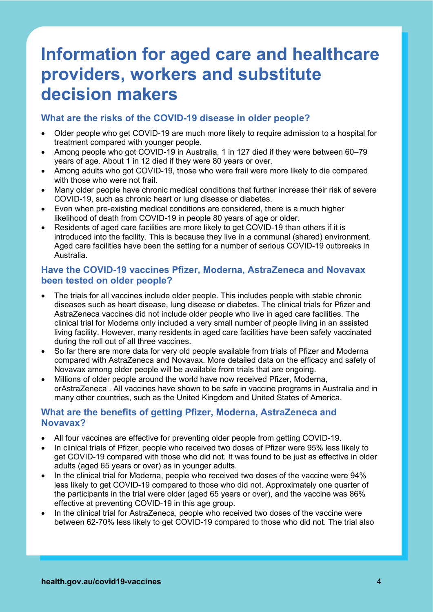# **Information for aged care and healthcare providers, workers and substitute decision makers**

### **What are the risks of the COVID-19 disease in older people?**

- Older people who get COVID-19 are much more likely to require admission to a hospital for treatment compared with younger people.
- Among people who got COVID-19 in Australia, 1 in 127 died if they were between 60–79 years of age. About 1 in 12 died if they were 80 years or over.
- Among adults who got COVID-19, those who were frail were more likely to die compared with those who were not frail.
- Many older people have chronic medical conditions that further increase their risk of severe COVID-19, such as chronic heart or lung disease or diabetes.
- Even when pre-existing medical conditions are considered, there is a much higher likelihood of death from COVID-19 in people 80 years of age or older.
- Residents of aged care facilities are more likely to get COVID-19 than others if it is introduced into the facility. This is because they live in a communal (shared) environment. Aged care facilities have been the setting for a number of serious COVID-19 outbreaks in Australia.

### **Have the COVID-19 vaccines Pfizer, Moderna, AstraZeneca and Novavax been tested on older people?**

- The trials for all vaccines include older people. This includes people with stable chronic diseases such as heart disease, lung disease or diabetes. The clinical trials for Pfizer and AstraZeneca vaccines did not include older people who live in aged care facilities. The clinical trial for Moderna only included a very small number of people living in an assisted living facility. However, many residents in aged care facilities have been safely vaccinated during the roll out of all three vaccines.
- So far there are more data for very old people available from trials of Pfizer and Moderna compared with AstraZeneca and Novavax. More detailed data on the efficacy and safety of Novavax among older people will be available from trials that are ongoing.
- Millions of older people around the world have now received Pfizer, Moderna, orAstraZeneca . All vaccines have shown to be safe in vaccine programs in Australia and in many other countries, such as the United Kingdom and United States of America.

### **What are the benefits of getting Pfizer, Moderna, AstraZeneca and Novavax?**

- All four vaccines are effective for preventing older people from getting COVID-19.
- In clinical trials of Pfizer, people who received two doses of Pfizer were 95% less likely to get COVID-19 compared with those who did not. It was found to be just as effective in older adults (aged 65 years or over) as in younger adults.
- In the clinical trial for Moderna, people who received two doses of the vaccine were 94% less likely to get COVID-19 compared to those who did not. Approximately one quarter of the participants in the trial were older (aged 65 years or over), and the vaccine was 86% effective at preventing COVID-19 in this age group.
- In the clinical trial for AstraZeneca, people who received two doses of the vaccine were between 62-70% less likely to get COVID-19 compared to those who did not. The trial also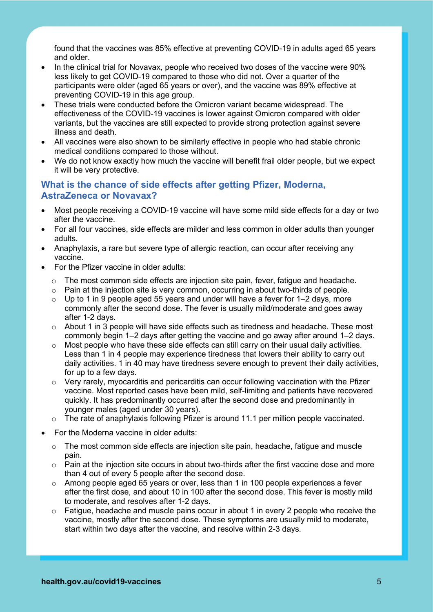found that the vaccines was 85% effective at preventing COVID-19 in adults aged 65 years and older.

- In the clinical trial for Novavax, people who received two doses of the vaccine were 90% less likely to get COVID-19 compared to those who did not. Over a quarter of the participants were older (aged 65 years or over), and the vaccine was 89% effective at preventing COVID-19 in this age group.
- These trials were conducted before the Omicron variant became widespread. The effectiveness of the COVID-19 vaccines is lower against Omicron compared with older variants, but the vaccines are still expected to provide strong protection against severe illness and death.
- All vaccines were also shown to be similarly effective in people who had stable chronic medical conditions compared to those without.
- We do not know exactly how much the vaccine will benefit frail older people, but we expect it will be very protective.

### **What is the chance of side effects after getting Pfizer, Moderna, AstraZeneca or Novavax?**

- Most people receiving a COVID-19 vaccine will have some mild side effects for a day or two after the vaccine.
- For all four vaccines, side effects are milder and less common in older adults than younger adults.
- Anaphylaxis, a rare but severe type of allergic reaction, can occur after receiving any vaccine.
- For the Pfizer vaccine in older adults:
	- o The most common side effects are injection site pain, fever, fatigue and headache.
	- $\circ$  Pain at the injection site is very common, occurring in about two-thirds of people.
	- $\circ$  Up to 1 in 9 people aged 55 years and under will have a fever for 1–2 days, more commonly after the second dose. The fever is usually mild/moderate and goes away after 1-2 days.
	- o About 1 in 3 people will have side effects such as tiredness and headache. These most commonly begin 1–2 days after getting the vaccine and go away after around 1–2 days.
	- $\circ$  Most people who have these side effects can still carry on their usual daily activities. Less than 1 in 4 people may experience tiredness that lowers their ability to carry out daily activities. 1 in 40 may have tiredness severe enough to prevent their daily activities, for up to a few days.
	- $\circ$  Very rarely, myocarditis and pericarditis can occur following vaccination with the Pfizer vaccine. Most reported cases have been mild, self-limiting and patients have recovered quickly. It has predominantly occurred after the second dose and predominantly in younger males (aged under 30 years).
	- o The rate of anaphylaxis following Pfizer is around 11.1 per million people vaccinated.
- For the Moderna vaccine in older adults:
	- $\circ$  The most common side effects are injection site pain, headache, fatique and muscle pain.
	- o Pain at the injection site occurs in about two-thirds after the first vaccine dose and more than 4 out of every 5 people after the second dose.
	- $\circ$  Among people aged 65 years or over, less than 1 in 100 people experiences a fever after the first dose, and about 10 in 100 after the second dose. This fever is mostly mild to moderate, and resolves after 1-2 days.
	- $\circ$  Fatigue, headache and muscle pains occur in about 1 in every 2 people who receive the vaccine, mostly after the second dose. These symptoms are usually mild to moderate, start within two days after the vaccine, and resolve within 2-3 days.